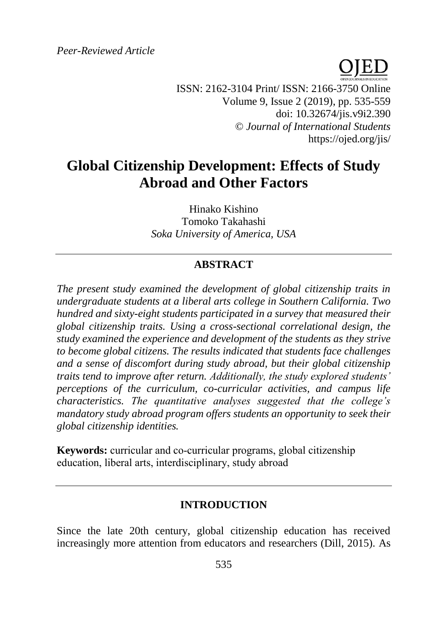ISSN: 2162-3104 Print/ ISSN: 2166-3750 Online Volume 9, Issue 2 (2019), pp. 535-559 doi: 10.32674/jis.v9i2.390 © *Journal of International Students* https://ojed.org/jis/

# **Global Citizenship Development: Effects of Study Abroad and Other Factors**

Hinako Kishino Tomoko Takahashi *Soka University of America, USA*

# **ABSTRACT**

*The present study examined the development of global citizenship traits in undergraduate students at a liberal arts college in Southern California. Two hundred and sixty-eight students participated in a survey that measured their global citizenship traits. Using a cross-sectional correlational design, the study examined the experience and development of the students as they strive to become global citizens. The results indicated that students face challenges and a sense of discomfort during study abroad, but their global citizenship traits tend to improve after return. Additionally, the study explored students' perceptions of the curriculum, co-curricular activities, and campus life characteristics. The quantitative analyses suggested that the college's mandatory study abroad program offers students an opportunity to seek their global citizenship identities.*

**Keywords:** curricular and co-curricular programs, global citizenship education, liberal arts, interdisciplinary, study abroad

## **INTRODUCTION**

Since the late 20th century, global citizenship education has received increasingly more attention from educators and researchers (Dill, 2015). As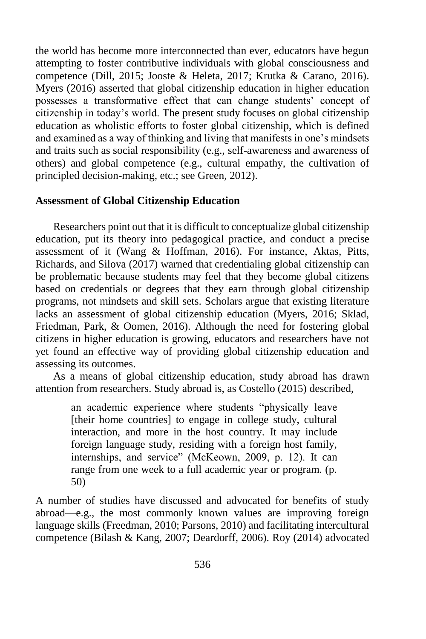the world has become more interconnected than ever, educators have begun attempting to foster contributive individuals with global consciousness and competence (Dill, 2015; Jooste & Heleta, 2017; Krutka & Carano, 2016). Myers (2016) asserted that global citizenship education in higher education possesses a transformative effect that can change students' concept of citizenship in today's world. The present study focuses on global citizenship education as wholistic efforts to foster global citizenship, which is defined and examined as a way of thinking and living that manifests in one's mindsets and traits such as social responsibility (e.g., self-awareness and awareness of others) and global competence (e.g., cultural empathy, the cultivation of principled decision-making, etc.; see Green, 2012).

# **Assessment of Global Citizenship Education**

Researchers point out that it is difficult to conceptualize global citizenship education, put its theory into pedagogical practice, and conduct a precise assessment of it (Wang & Hoffman, 2016). For instance, Aktas, Pitts, Richards, and Silova (2017) warned that credentialing global citizenship can be problematic because students may feel that they become global citizens based on credentials or degrees that they earn through global citizenship programs, not mindsets and skill sets. Scholars argue that existing literature lacks an assessment of global citizenship education (Myers, 2016; Sklad, Friedman, Park, & Oomen, 2016). Although the need for fostering global citizens in higher education is growing, educators and researchers have not yet found an effective way of providing global citizenship education and assessing its outcomes.

As a means of global citizenship education, study abroad has drawn attention from researchers. Study abroad is, as Costello (2015) described,

> an academic experience where students "physically leave [their home countries] to engage in college study, cultural interaction, and more in the host country. It may include foreign language study, residing with a foreign host family, internships, and service" (McKeown, 2009, p. 12). It can range from one week to a full academic year or program. (p. 50)

A number of studies have discussed and advocated for benefits of study abroad—e.g., the most commonly known values are improving foreign language skills (Freedman, 2010; Parsons, 2010) and facilitating intercultural competence (Bilash & Kang, 2007; Deardorff, 2006). Roy (2014) advocated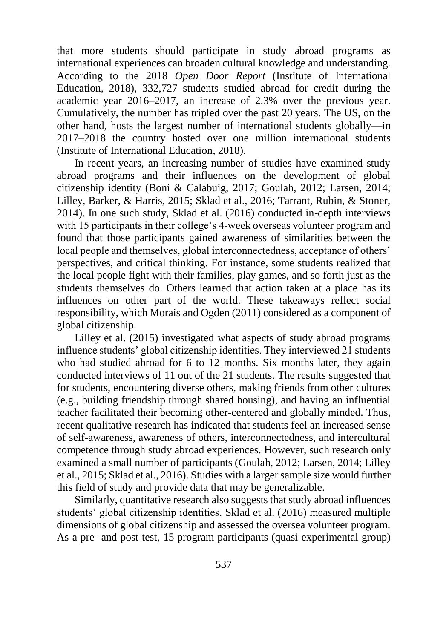that more students should participate in study abroad programs as international experiences can broaden cultural knowledge and understanding. According to the 2018 *Open Door Report* (Institute of International Education, 2018), 332,727 students studied abroad for credit during the academic year 2016–2017, an increase of 2.3% over the previous year. Cumulatively, the number has tripled over the past 20 years. The US, on the other hand, hosts the largest number of international students globally—in 2017–2018 the country hosted over one million international students (Institute of International Education, 2018).

In recent years, an increasing number of studies have examined study abroad programs and their influences on the development of global citizenship identity (Boni & Calabuig, 2017; Goulah, 2012; Larsen, 2014; Lilley, Barker, & Harris, 2015; Sklad et al., 2016; Tarrant, Rubin, & Stoner, 2014). In one such study, Sklad et al. (2016) conducted in-depth interviews with 15 participants in their college's 4-week overseas volunteer program and found that those participants gained awareness of similarities between the local people and themselves, global interconnectedness, acceptance of others' perspectives, and critical thinking. For instance, some students realized that the local people fight with their families, play games, and so forth just as the students themselves do. Others learned that action taken at a place has its influences on other part of the world. These takeaways reflect social responsibility, which Morais and Ogden (2011) considered as a component of global citizenship.

Lilley et al. (2015) investigated what aspects of study abroad programs influence students' global citizenship identities. They interviewed 21 students who had studied abroad for 6 to 12 months. Six months later, they again conducted interviews of 11 out of the 21 students. The results suggested that for students, encountering diverse others, making friends from other cultures (e.g., building friendship through shared housing), and having an influential teacher facilitated their becoming other-centered and globally minded. Thus, recent qualitative research has indicated that students feel an increased sense of self-awareness, awareness of others, interconnectedness, and intercultural competence through study abroad experiences. However, such research only examined a small number of participants (Goulah, 2012; Larsen, 2014; Lilley et al., 2015; Sklad et al., 2016). Studies with a larger sample size would further this field of study and provide data that may be generalizable.

Similarly, quantitative research also suggests that study abroad influences students' global citizenship identities. Sklad et al. (2016) measured multiple dimensions of global citizenship and assessed the oversea volunteer program. As a pre- and post-test, 15 program participants (quasi-experimental group)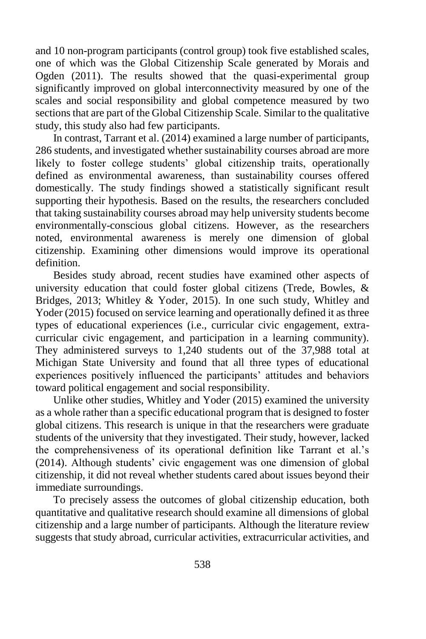and 10 non-program participants (control group) took five established scales, one of which was the Global Citizenship Scale generated by Morais and Ogden (2011). The results showed that the quasi-experimental group significantly improved on global interconnectivity measured by one of the scales and social responsibility and global competence measured by two sections that are part of the Global Citizenship Scale. Similar to the qualitative study, this study also had few participants.

In contrast, Tarrant et al. (2014) examined a large number of participants, 286 students, and investigated whether sustainability courses abroad are more likely to foster college students' global citizenship traits, operationally defined as environmental awareness, than sustainability courses offered domestically. The study findings showed a statistically significant result supporting their hypothesis. Based on the results, the researchers concluded that taking sustainability courses abroad may help university students become environmentally-conscious global citizens. However, as the researchers noted, environmental awareness is merely one dimension of global citizenship. Examining other dimensions would improve its operational definition.

Besides study abroad, recent studies have examined other aspects of university education that could foster global citizens (Trede, Bowles, & Bridges, 2013; Whitley & Yoder, 2015). In one such study, Whitley and Yoder (2015) focused on service learning and operationally defined it as three types of educational experiences (i.e., curricular civic engagement, extracurricular civic engagement, and participation in a learning community). They administered surveys to 1,240 students out of the 37,988 total at Michigan State University and found that all three types of educational experiences positively influenced the participants' attitudes and behaviors toward political engagement and social responsibility.

Unlike other studies, Whitley and Yoder (2015) examined the university as a whole rather than a specific educational program that is designed to foster global citizens. This research is unique in that the researchers were graduate students of the university that they investigated. Their study, however, lacked the comprehensiveness of its operational definition like Tarrant et al.'s (2014). Although students' civic engagement was one dimension of global citizenship, it did not reveal whether students cared about issues beyond their immediate surroundings.

To precisely assess the outcomes of global citizenship education, both quantitative and qualitative research should examine all dimensions of global citizenship and a large number of participants. Although the literature review suggests that study abroad, curricular activities, extracurricular activities, and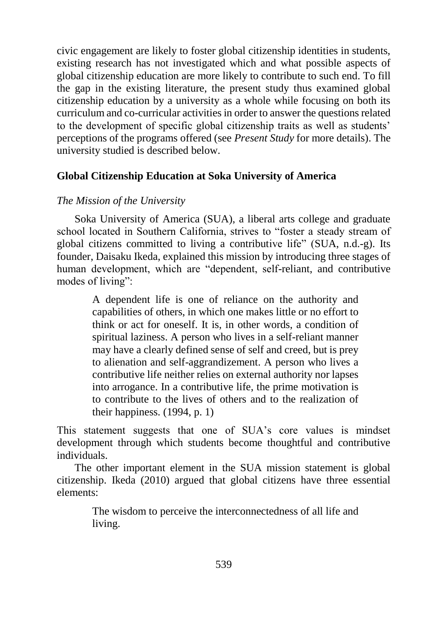civic engagement are likely to foster global citizenship identities in students, existing research has not investigated which and what possible aspects of global citizenship education are more likely to contribute to such end. To fill the gap in the existing literature, the present study thus examined global citizenship education by a university as a whole while focusing on both its curriculum and co-curricular activities in order to answer the questions related to the development of specific global citizenship traits as well as students' perceptions of the programs offered (see *Present Study* for more details). The university studied is described below.

# **Global Citizenship Education at Soka University of America**

# *The Mission of the University*

Soka University of America (SUA), a liberal arts college and graduate school located in Southern California, strives to "foster a steady stream of global citizens committed to living a contributive life" (SUA, n.d.-g). Its founder, Daisaku Ikeda, explained this mission by introducing three stages of human development, which are "dependent, self-reliant, and contributive modes of living":

> A dependent life is one of reliance on the authority and capabilities of others, in which one makes little or no effort to think or act for oneself. It is, in other words, a condition of spiritual laziness. A person who lives in a self-reliant manner may have a clearly defined sense of self and creed, but is prey to alienation and self-aggrandizement. A person who lives a contributive life neither relies on external authority nor lapses into arrogance. In a contributive life, the prime motivation is to contribute to the lives of others and to the realization of their happiness. (1994, p. 1)

This statement suggests that one of SUA's core values is mindset development through which students become thoughtful and contributive individuals.

The other important element in the SUA mission statement is global citizenship. Ikeda (2010) argued that global citizens have three essential elements:

> The wisdom to perceive the interconnectedness of all life and living.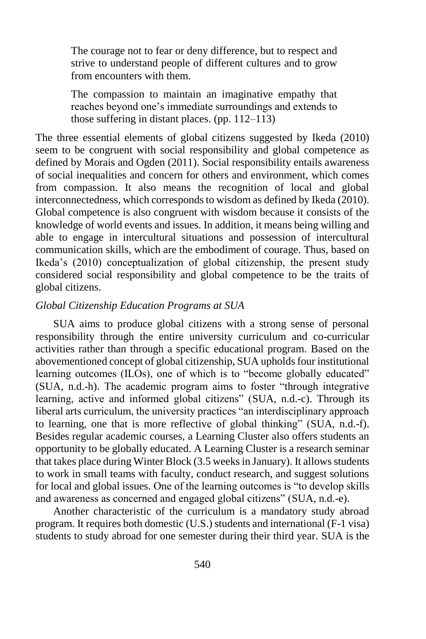The courage not to fear or deny difference, but to respect and strive to understand people of different cultures and to grow from encounters with them.

The compassion to maintain an imaginative empathy that reaches beyond one's immediate surroundings and extends to those suffering in distant places. (pp. 112–113)

The three essential elements of global citizens suggested by Ikeda (2010) seem to be congruent with social responsibility and global competence as defined by Morais and Ogden (2011). Social responsibility entails awareness of social inequalities and concern for others and environment, which comes from compassion. It also means the recognition of local and global interconnectedness, which corresponds to wisdom as defined by Ikeda (2010). Global competence is also congruent with wisdom because it consists of the knowledge of world events and issues. In addition, it means being willing and able to engage in intercultural situations and possession of intercultural communication skills, which are the embodiment of courage. Thus, based on Ikeda's (2010) conceptualization of global citizenship, the present study considered social responsibility and global competence to be the traits of global citizens.

# *Global Citizenship Education Programs at SUA*

SUA aims to produce global citizens with a strong sense of personal responsibility through the entire university curriculum and co-curricular activities rather than through a specific educational program. Based on the abovementioned concept of global citizenship, SUA upholds four institutional learning outcomes (ILOs), one of which is to "become globally educated" (SUA, n.d.-h). The academic program aims to foster "through integrative learning, active and informed global citizens" (SUA, n.d.-c). Through its liberal arts curriculum, the university practices "an interdisciplinary approach to learning, one that is more reflective of global thinking" (SUA, n.d.-f). Besides regular academic courses, a Learning Cluster also offers students an opportunity to be globally educated. A Learning Cluster is a research seminar that takes place during Winter Block (3.5 weeks in January). It allows students to work in small teams with faculty, conduct research, and suggest solutions for local and global issues. One of the learning outcomes is "to develop skills and awareness as concerned and engaged global citizens" (SUA, n.d.-e).

Another characteristic of the curriculum is a mandatory study abroad program. It requires both domestic (U.S.) students and international (F-1 visa) students to study abroad for one semester during their third year. SUA is the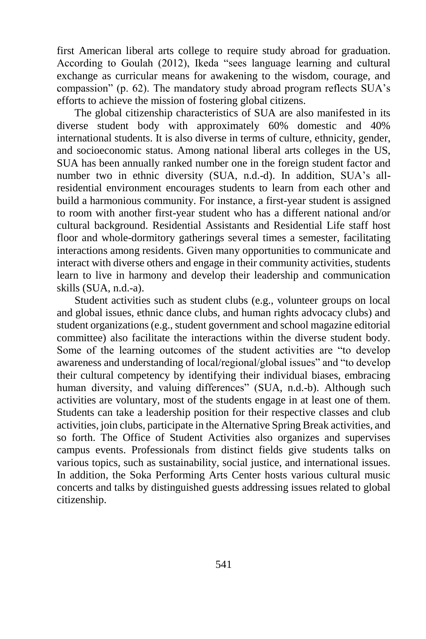first American liberal arts college to require study abroad for graduation. According to Goulah (2012), Ikeda "sees language learning and cultural exchange as curricular means for awakening to the wisdom, courage, and compassion" (p. 62). The mandatory study abroad program reflects SUA's efforts to achieve the mission of fostering global citizens.

The global citizenship characteristics of SUA are also manifested in its diverse student body with approximately 60% domestic and 40% international students. It is also diverse in terms of culture, ethnicity, gender, and socioeconomic status. Among national liberal arts colleges in the US, SUA has been annually ranked number one in the foreign student factor and number two in ethnic diversity (SUA, n.d.-d). In addition, SUA's allresidential environment encourages students to learn from each other and build a harmonious community. For instance, a first-year student is assigned to room with another first-year student who has a different national and/or cultural background. Residential Assistants and Residential Life staff host floor and whole-dormitory gatherings several times a semester, facilitating interactions among residents. Given many opportunities to communicate and interact with diverse others and engage in their community activities, students learn to live in harmony and develop their leadership and communication skills (SUA, n.d.-a).

Student activities such as student clubs (e.g., volunteer groups on local and global issues, ethnic dance clubs, and human rights advocacy clubs) and student organizations (e.g., student government and school magazine editorial committee) also facilitate the interactions within the diverse student body. Some of the learning outcomes of the student activities are "to develop awareness and understanding of local/regional/global issues" and "to develop their cultural competency by identifying their individual biases, embracing human diversity, and valuing differences" (SUA, n.d.-b). Although such activities are voluntary, most of the students engage in at least one of them. Students can take a leadership position for their respective classes and club activities, join clubs, participate in the Alternative Spring Break activities, and so forth. The Office of Student Activities also organizes and supervises campus events. Professionals from distinct fields give students talks on various topics, such as sustainability, social justice, and international issues. In addition, the Soka Performing Arts Center hosts various cultural music concerts and talks by distinguished guests addressing issues related to global citizenship.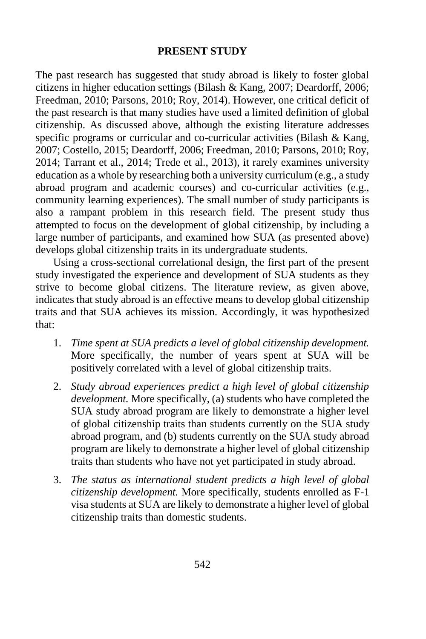# **PRESENT STUDY**

The past research has suggested that study abroad is likely to foster global citizens in higher education settings (Bilash & Kang, 2007; Deardorff, 2006; Freedman, 2010; Parsons, 2010; Roy, 2014). However, one critical deficit of the past research is that many studies have used a limited definition of global citizenship. As discussed above, although the existing literature addresses specific programs or curricular and co-curricular activities (Bilash & Kang, 2007; Costello, 2015; Deardorff, 2006; Freedman, 2010; Parsons, 2010; Roy, 2014; Tarrant et al., 2014; Trede et al., 2013), it rarely examines university education as a whole by researching both a university curriculum (e.g., a study abroad program and academic courses) and co-curricular activities (e.g., community learning experiences). The small number of study participants is also a rampant problem in this research field. The present study thus attempted to focus on the development of global citizenship, by including a large number of participants, and examined how SUA (as presented above) develops global citizenship traits in its undergraduate students.

Using a cross-sectional correlational design, the first part of the present study investigated the experience and development of SUA students as they strive to become global citizens. The literature review, as given above, indicates that study abroad is an effective means to develop global citizenship traits and that SUA achieves its mission. Accordingly, it was hypothesized that:

- 1. *Time spent at SUA predicts a level of global citizenship development.* More specifically, the number of years spent at SUA will be positively correlated with a level of global citizenship traits.
- 2. *Study abroad experiences predict a high level of global citizenship development.* More specifically, (a) students who have completed the SUA study abroad program are likely to demonstrate a higher level of global citizenship traits than students currently on the SUA study abroad program, and (b) students currently on the SUA study abroad program are likely to demonstrate a higher level of global citizenship traits than students who have not yet participated in study abroad.
- 3. *The status as international student predicts a high level of global citizenship development.* More specifically, students enrolled as F-1 visa students at SUA are likely to demonstrate a higher level of global citizenship traits than domestic students.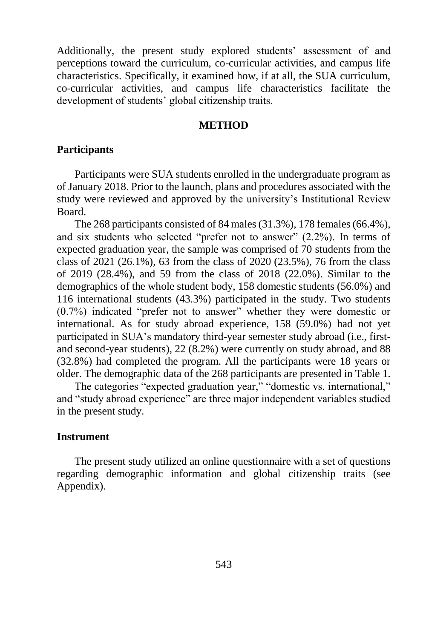Additionally, the present study explored students' assessment of and perceptions toward the curriculum, co-curricular activities, and campus life characteristics. Specifically, it examined how, if at all, the SUA curriculum, co-curricular activities, and campus life characteristics facilitate the development of students' global citizenship traits.

### **METHOD**

# **Participants**

Participants were SUA students enrolled in the undergraduate program as of January 2018. Prior to the launch, plans and procedures associated with the study were reviewed and approved by the university's Institutional Review Board.

The 268 participants consisted of 84 males (31.3%), 178 females (66.4%), and six students who selected "prefer not to answer" (2.2%). In terms of expected graduation year, the sample was comprised of 70 students from the class of 2021 (26.1%), 63 from the class of 2020 (23.5%), 76 from the class of 2019 (28.4%), and 59 from the class of 2018 (22.0%). Similar to the demographics of the whole student body, 158 domestic students (56.0%) and 116 international students (43.3%) participated in the study. Two students (0.7%) indicated "prefer not to answer" whether they were domestic or international. As for study abroad experience, 158 (59.0%) had not yet participated in SUA's mandatory third-year semester study abroad (i.e., firstand second-year students), 22 (8.2%) were currently on study abroad, and 88 (32.8%) had completed the program. All the participants were 18 years or older. The demographic data of the 268 participants are presented in Table 1.

The categories "expected graduation year," "domestic vs. international," and "study abroad experience" are three major independent variables studied in the present study.

### **Instrument**

The present study utilized an online questionnaire with a set of questions regarding demographic information and global citizenship traits (see Appendix).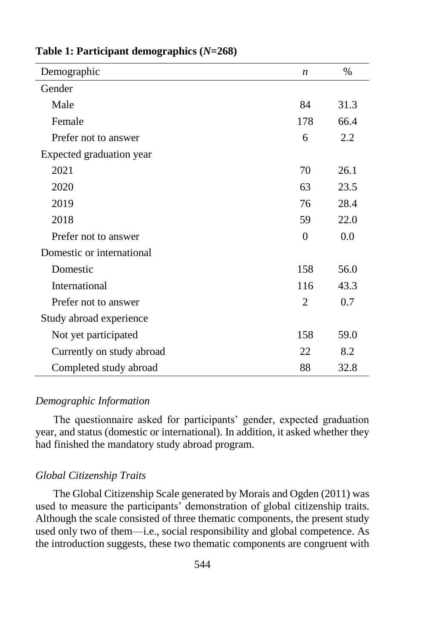| Demographic               | $\boldsymbol{n}$ | $\frac{0}{0}$ |
|---------------------------|------------------|---------------|
| Gender                    |                  |               |
| Male                      | 84               | 31.3          |
| Female                    | 178              | 66.4          |
| Prefer not to answer      | 6                | 2.2           |
| Expected graduation year  |                  |               |
| 2021                      | 70               | 26.1          |
| 2020                      | 63               | 23.5          |
| 2019                      | 76               | 28.4          |
| 2018                      | 59               | 22.0          |
| Prefer not to answer      | $\theta$         | 0.0           |
| Domestic or international |                  |               |
| Domestic                  | 158              | 56.0          |
| International             | 116              | 43.3          |
| Prefer not to answer      | $\overline{2}$   | 0.7           |
| Study abroad experience   |                  |               |
| Not yet participated      | 158              | 59.0          |
| Currently on study abroad | 22               | 8.2           |
| Completed study abroad    | 88               | 32.8          |

# **Table 1: Participant demographics (***N***=268)**

# *Demographic Information*

The questionnaire asked for participants' gender, expected graduation year, and status (domestic or international). In addition, it asked whether they had finished the mandatory study abroad program.

# *Global Citizenship Traits*

The Global Citizenship Scale generated by Morais and Ogden (2011) was used to measure the participants' demonstration of global citizenship traits. Although the scale consisted of three thematic components, the present study used only two of them—i.e., social responsibility and global competence. As the introduction suggests, these two thematic components are congruent with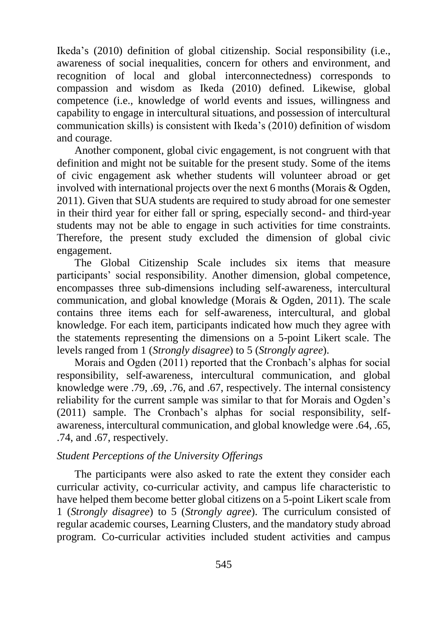Ikeda's (2010) definition of global citizenship. Social responsibility (i.e., awareness of social inequalities, concern for others and environment, and recognition of local and global interconnectedness) corresponds to compassion and wisdom as Ikeda (2010) defined. Likewise, global competence (i.e., knowledge of world events and issues, willingness and capability to engage in intercultural situations, and possession of intercultural communication skills) is consistent with Ikeda's (2010) definition of wisdom and courage.

Another component, global civic engagement, is not congruent with that definition and might not be suitable for the present study. Some of the items of civic engagement ask whether students will volunteer abroad or get involved with international projects over the next 6 months (Morais & Ogden, 2011). Given that SUA students are required to study abroad for one semester in their third year for either fall or spring, especially second- and third-year students may not be able to engage in such activities for time constraints. Therefore, the present study excluded the dimension of global civic engagement.

The Global Citizenship Scale includes six items that measure participants' social responsibility. Another dimension, global competence, encompasses three sub-dimensions including self-awareness, intercultural communication, and global knowledge (Morais & Ogden, 2011). The scale contains three items each for self-awareness, intercultural, and global knowledge. For each item, participants indicated how much they agree with the statements representing the dimensions on a 5-point Likert scale. The levels ranged from 1 (*Strongly disagree*) to 5 (*Strongly agree*).

Morais and Ogden (2011) reported that the Cronbach's alphas for social responsibility, self-awareness, intercultural communication, and global knowledge were .79, .69, .76, and .67, respectively. The internal consistency reliability for the current sample was similar to that for Morais and Ogden's (2011) sample. The Cronbach's alphas for social responsibility, selfawareness, intercultural communication, and global knowledge were .64, .65, .74, and .67, respectively.

#### *Student Perceptions of the University Offerings*

The participants were also asked to rate the extent they consider each curricular activity, co-curricular activity, and campus life characteristic to have helped them become better global citizens on a 5-point Likert scale from 1 (*Strongly disagree*) to 5 (*Strongly agree*). The curriculum consisted of regular academic courses, Learning Clusters, and the mandatory study abroad program. Co-curricular activities included student activities and campus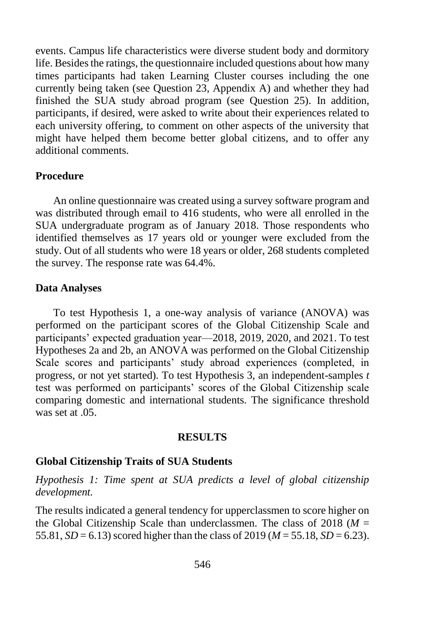events. Campus life characteristics were diverse student body and dormitory life. Besides the ratings, the questionnaire included questions about how many times participants had taken Learning Cluster courses including the one currently being taken (see Question 23, Appendix A) and whether they had finished the SUA study abroad program (see Question 25). In addition, participants, if desired, were asked to write about their experiences related to each university offering, to comment on other aspects of the university that might have helped them become better global citizens, and to offer any additional comments.

### **Procedure**

An online questionnaire was created using a survey software program and was distributed through email to 416 students, who were all enrolled in the SUA undergraduate program as of January 2018. Those respondents who identified themselves as 17 years old or younger were excluded from the study. Out of all students who were 18 years or older, 268 students completed the survey. The response rate was 64.4%.

#### **Data Analyses**

To test Hypothesis 1, a one-way analysis of variance (ANOVA) was performed on the participant scores of the Global Citizenship Scale and participants' expected graduation year—2018, 2019, 2020, and 2021. To test Hypotheses 2a and 2b, an ANOVA was performed on the Global Citizenship Scale scores and participants' study abroad experiences (completed, in progress, or not yet started). To test Hypothesis 3, an independent-samples *t*  test was performed on participants' scores of the Global Citizenship scale comparing domestic and international students. The significance threshold was set at .05.

#### **RESULTS**

#### **Global Citizenship Traits of SUA Students**

*Hypothesis 1: Time spent at SUA predicts a level of global citizenship development.*

The results indicated a general tendency for upperclassmen to score higher on the Global Citizenship Scale than underclassmen. The class of 2018 (*M* = 55.81,  $SD = 6.13$ ) scored higher than the class of 2019 ( $M = 55.18$ ,  $SD = 6.23$ ).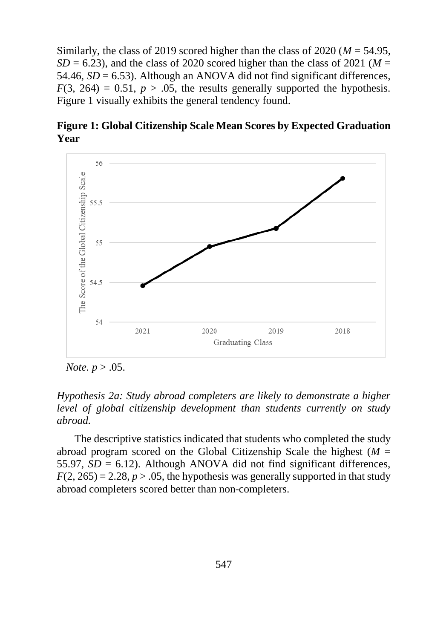Similarly, the class of 2019 scored higher than the class of 2020 ( $M = 54.95$ ,  $SD = 6.23$ ), and the class of 2020 scored higher than the class of 2021 ( $M =$ 54.46,  $SD = 6.53$ ). Although an ANOVA did not find significant differences,  $F(3, 264) = 0.51$ ,  $p > .05$ , the results generally supported the hypothesis. Figure 1 visually exhibits the general tendency found.

**Figure 1: Global Citizenship Scale Mean Scores by Expected Graduation Year**



*Note.*  $p > .05$ .

*Hypothesis 2a: Study abroad completers are likely to demonstrate a higher level of global citizenship development than students currently on study abroad.*

The descriptive statistics indicated that students who completed the study abroad program scored on the Global Citizenship Scale the highest  $(M =$ 55.97,  $SD = 6.12$ ). Although ANOVA did not find significant differences,  $F(2, 265) = 2.28$ ,  $p > 0.05$ , the hypothesis was generally supported in that study abroad completers scored better than non-completers.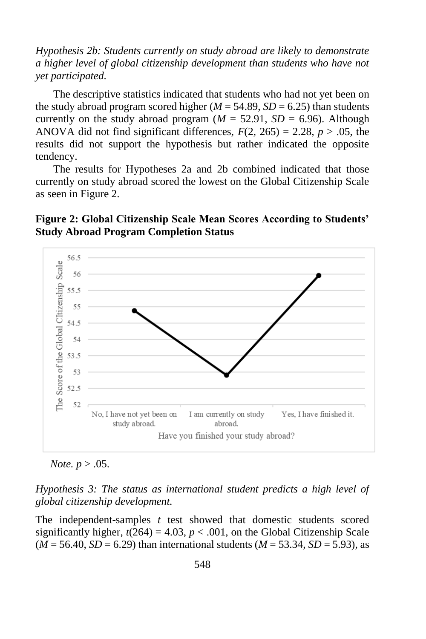*Hypothesis 2b: Students currently on study abroad are likely to demonstrate a higher level of global citizenship development than students who have not yet participated.* 

The descriptive statistics indicated that students who had not yet been on the study abroad program scored higher ( $M = 54.89$ ,  $SD = 6.25$ ) than students currently on the study abroad program ( $M = 52.91$ ,  $SD = 6.96$ ). Although ANOVA did not find significant differences,  $F(2, 265) = 2.28$ ,  $p > .05$ , the results did not support the hypothesis but rather indicated the opposite tendency.

The results for Hypotheses 2a and 2b combined indicated that those currently on study abroad scored the lowest on the Global Citizenship Scale as seen in Figure 2.





*Note.*  $p > .05$ .

*Hypothesis 3: The status as international student predicts a high level of global citizenship development.*

The independent-samples *t* test showed that domestic students scored significantly higher,  $t(264) = 4.03$ ,  $p < .001$ , on the Global Citizenship Scale  $(M = 56.40, SD = 6.29)$  than international students  $(M = 53.34, SD = 5.93)$ , as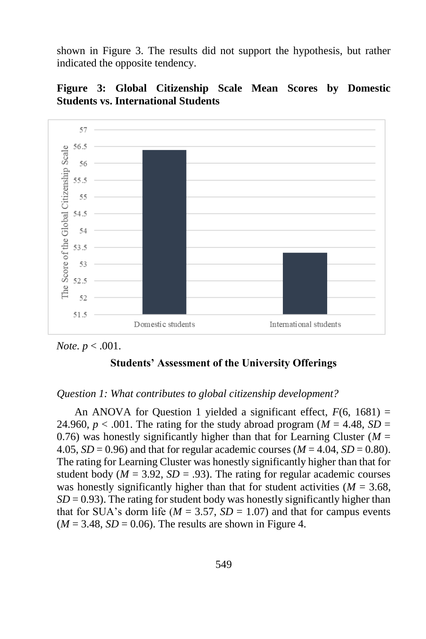shown in Figure 3. The results did not support the hypothesis, but rather indicated the opposite tendency.



**Figure 3: Global Citizenship Scale Mean Scores by Domestic Students vs. International Students**

### **Students' Assessment of the University Offerings**

#### *Question 1: What contributes to global citizenship development?*

An ANOVA for Question 1 yielded a significant effect, *F*(6, 1681) = 24.960,  $p < .001$ . The rating for the study abroad program ( $M = 4.48$ ,  $SD =$ 0.76) was honestly significantly higher than that for Learning Cluster ( $M =$ 4.05,  $SD = 0.96$ ) and that for regular academic courses ( $M = 4.04$ ,  $SD = 0.80$ ). The rating for Learning Cluster was honestly significantly higher than that for student body ( $M = 3.92$ ,  $SD = .93$ ). The rating for regular academic courses was honestly significantly higher than that for student activities ( $M = 3.68$ ,  $SD = 0.93$ ). The rating for student body was honestly significantly higher than that for SUA's dorm life ( $M = 3.57$ ,  $SD = 1.07$ ) and that for campus events  $(M = 3.48, SD = 0.06)$ . The results are shown in Figure 4.

*Note. p* < .001.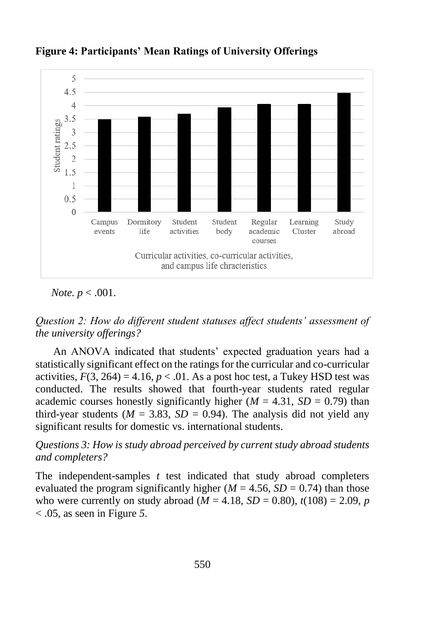

**Figure 4: Participants' Mean Ratings of University Offerings**

*Note. p* < .001.

*Question 2: How do different student statuses affect students' assessment of the university offerings?*

An ANOVA indicated that students' expected graduation years had a statistically significant effect on the ratings for the curricular and co-curricular activities,  $F(3, 264) = 4.16$ ,  $p < .01$ . As a post hoc test, a Tukey HSD test was conducted. The results showed that fourth-year students rated regular academic courses honestly significantly higher  $(M = 4.31, SD = 0.79)$  than third-year students ( $M = 3.83$ ,  $SD = 0.94$ ). The analysis did not yield any significant results for domestic vs. international students.

*Questions 3: How is study abroad perceived by current study abroad students and completers?*

The independent-samples *t* test indicated that study abroad completers evaluated the program significantly higher ( $M = 4.56$ ,  $SD = 0.74$ ) than those who were currently on study abroad ( $M = 4.18$ ,  $SD = 0.80$ ),  $t(108) = 2.09$ , *p* < .05, as seen in Figure *5*.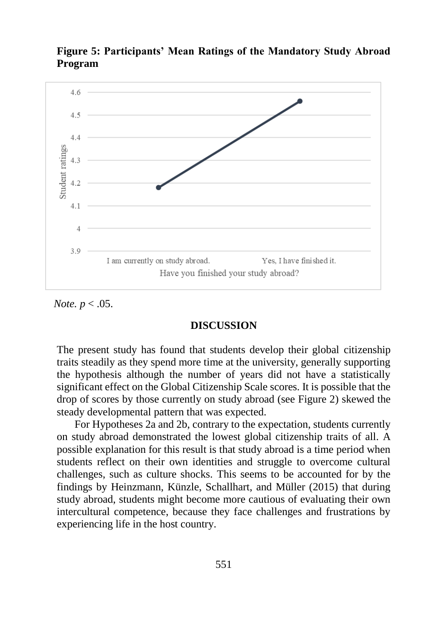

**Figure 5: Participants' Mean Ratings of the Mandatory Study Abroad Program**

*Note. p* < .05.

### **DISCUSSION**

The present study has found that students develop their global citizenship traits steadily as they spend more time at the university, generally supporting the hypothesis although the number of years did not have a statistically significant effect on the Global Citizenship Scale scores. It is possible that the drop of scores by those currently on study abroad (see Figure 2) skewed the steady developmental pattern that was expected.

For Hypotheses 2a and 2b, contrary to the expectation, students currently on study abroad demonstrated the lowest global citizenship traits of all. A possible explanation for this result is that study abroad is a time period when students reflect on their own identities and struggle to overcome cultural challenges, such as culture shocks. This seems to be accounted for by the findings by Heinzmann, Künzle, Schallhart, and Müller (2015) that during study abroad, students might become more cautious of evaluating their own intercultural competence, because they face challenges and frustrations by experiencing life in the host country.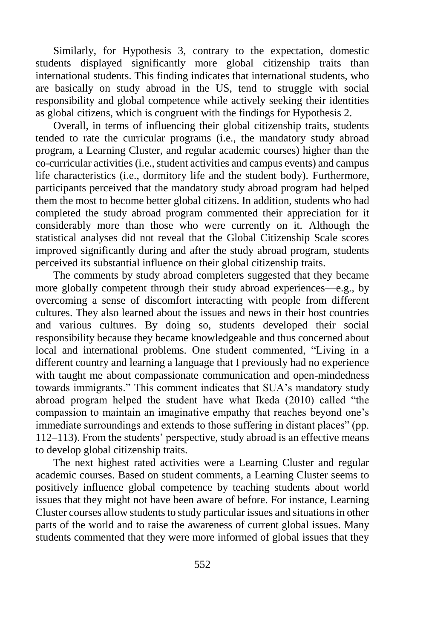Similarly, for Hypothesis 3, contrary to the expectation, domestic students displayed significantly more global citizenship traits than international students. This finding indicates that international students, who are basically on study abroad in the US, tend to struggle with social responsibility and global competence while actively seeking their identities as global citizens, which is congruent with the findings for Hypothesis 2.

Overall, in terms of influencing their global citizenship traits, students tended to rate the curricular programs (i.e., the mandatory study abroad program, a Learning Cluster, and regular academic courses) higher than the co-curricular activities (i.e., student activities and campus events) and campus life characteristics (i.e., dormitory life and the student body). Furthermore, participants perceived that the mandatory study abroad program had helped them the most to become better global citizens. In addition, students who had completed the study abroad program commented their appreciation for it considerably more than those who were currently on it. Although the statistical analyses did not reveal that the Global Citizenship Scale scores improved significantly during and after the study abroad program, students perceived its substantial influence on their global citizenship traits.

The comments by study abroad completers suggested that they became more globally competent through their study abroad experiences—e.g., by overcoming a sense of discomfort interacting with people from different cultures. They also learned about the issues and news in their host countries and various cultures. By doing so, students developed their social responsibility because they became knowledgeable and thus concerned about local and international problems. One student commented, "Living in a different country and learning a language that I previously had no experience with taught me about compassionate communication and open-mindedness towards immigrants." This comment indicates that SUA's mandatory study abroad program helped the student have what Ikeda (2010) called "the compassion to maintain an imaginative empathy that reaches beyond one's immediate surroundings and extends to those suffering in distant places" (pp. 112–113). From the students' perspective, study abroad is an effective means to develop global citizenship traits.

The next highest rated activities were a Learning Cluster and regular academic courses. Based on student comments, a Learning Cluster seems to positively influence global competence by teaching students about world issues that they might not have been aware of before. For instance, Learning Cluster courses allow students to study particular issues and situations in other parts of the world and to raise the awareness of current global issues. Many students commented that they were more informed of global issues that they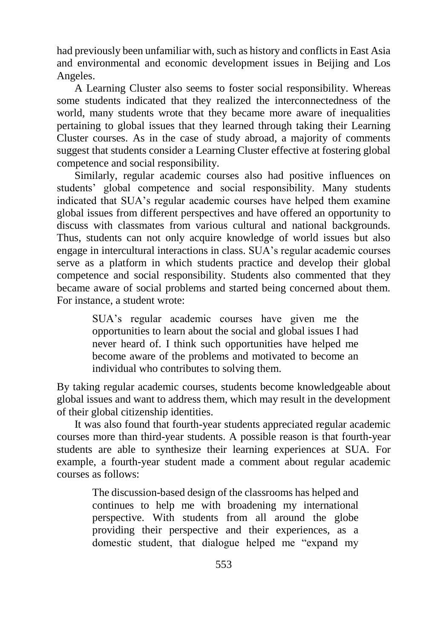had previously been unfamiliar with, such as history and conflicts in East Asia and environmental and economic development issues in Beijing and Los Angeles.

A Learning Cluster also seems to foster social responsibility. Whereas some students indicated that they realized the interconnectedness of the world, many students wrote that they became more aware of inequalities pertaining to global issues that they learned through taking their Learning Cluster courses. As in the case of study abroad, a majority of comments suggest that students consider a Learning Cluster effective at fostering global competence and social responsibility.

Similarly, regular academic courses also had positive influences on students' global competence and social responsibility. Many students indicated that SUA's regular academic courses have helped them examine global issues from different perspectives and have offered an opportunity to discuss with classmates from various cultural and national backgrounds. Thus, students can not only acquire knowledge of world issues but also engage in intercultural interactions in class. SUA's regular academic courses serve as a platform in which students practice and develop their global competence and social responsibility. Students also commented that they became aware of social problems and started being concerned about them. For instance, a student wrote:

> SUA's regular academic courses have given me the opportunities to learn about the social and global issues I had never heard of. I think such opportunities have helped me become aware of the problems and motivated to become an individual who contributes to solving them.

By taking regular academic courses, students become knowledgeable about global issues and want to address them, which may result in the development of their global citizenship identities.

It was also found that fourth-year students appreciated regular academic courses more than third-year students. A possible reason is that fourth-year students are able to synthesize their learning experiences at SUA. For example, a fourth-year student made a comment about regular academic courses as follows:

> The discussion-based design of the classrooms has helped and continues to help me with broadening my international perspective. With students from all around the globe providing their perspective and their experiences, as a domestic student, that dialogue helped me "expand my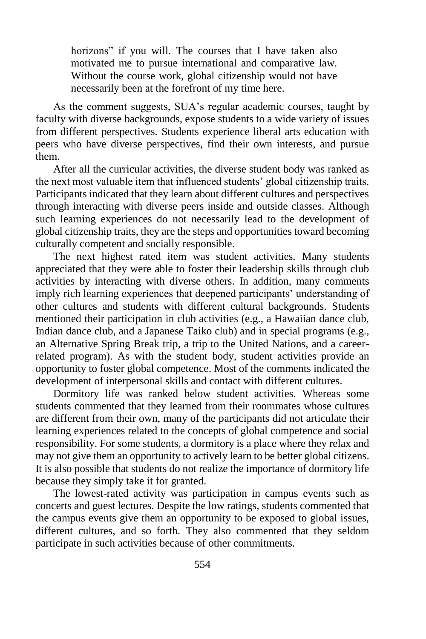horizons" if you will. The courses that I have taken also motivated me to pursue international and comparative law. Without the course work, global citizenship would not have necessarily been at the forefront of my time here.

As the comment suggests, SUA's regular academic courses, taught by faculty with diverse backgrounds, expose students to a wide variety of issues from different perspectives. Students experience liberal arts education with peers who have diverse perspectives, find their own interests, and pursue them.

After all the curricular activities, the diverse student body was ranked as the next most valuable item that influenced students' global citizenship traits. Participants indicated that they learn about different cultures and perspectives through interacting with diverse peers inside and outside classes. Although such learning experiences do not necessarily lead to the development of global citizenship traits, they are the steps and opportunities toward becoming culturally competent and socially responsible.

The next highest rated item was student activities. Many students appreciated that they were able to foster their leadership skills through club activities by interacting with diverse others. In addition, many comments imply rich learning experiences that deepened participants' understanding of other cultures and students with different cultural backgrounds. Students mentioned their participation in club activities (e.g., a Hawaiian dance club, Indian dance club, and a Japanese Taiko club) and in special programs (e.g., an Alternative Spring Break trip, a trip to the United Nations, and a careerrelated program). As with the student body, student activities provide an opportunity to foster global competence. Most of the comments indicated the development of interpersonal skills and contact with different cultures.

Dormitory life was ranked below student activities. Whereas some students commented that they learned from their roommates whose cultures are different from their own, many of the participants did not articulate their learning experiences related to the concepts of global competence and social responsibility. For some students, a dormitory is a place where they relax and may not give them an opportunity to actively learn to be better global citizens. It is also possible that students do not realize the importance of dormitory life because they simply take it for granted.

The lowest-rated activity was participation in campus events such as concerts and guest lectures. Despite the low ratings, students commented that the campus events give them an opportunity to be exposed to global issues, different cultures, and so forth. They also commented that they seldom participate in such activities because of other commitments.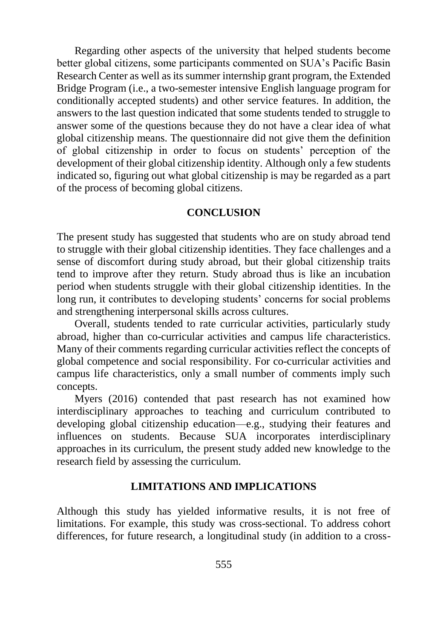Regarding other aspects of the university that helped students become better global citizens, some participants commented on SUA's Pacific Basin Research Center as well as its summer internship grant program, the Extended Bridge Program (i.e., a two-semester intensive English language program for conditionally accepted students) and other service features. In addition, the answers to the last question indicated that some students tended to struggle to answer some of the questions because they do not have a clear idea of what global citizenship means. The questionnaire did not give them the definition of global citizenship in order to focus on students' perception of the development of their global citizenship identity. Although only a few students indicated so, figuring out what global citizenship is may be regarded as a part of the process of becoming global citizens.

# **CONCLUSION**

The present study has suggested that students who are on study abroad tend to struggle with their global citizenship identities. They face challenges and a sense of discomfort during study abroad, but their global citizenship traits tend to improve after they return. Study abroad thus is like an incubation period when students struggle with their global citizenship identities. In the long run, it contributes to developing students' concerns for social problems and strengthening interpersonal skills across cultures.

Overall, students tended to rate curricular activities, particularly study abroad, higher than co-curricular activities and campus life characteristics. Many of their comments regarding curricular activities reflect the concepts of global competence and social responsibility. For co-curricular activities and campus life characteristics, only a small number of comments imply such concepts.

Myers (2016) contended that past research has not examined how interdisciplinary approaches to teaching and curriculum contributed to developing global citizenship education—e.g., studying their features and influences on students. Because SUA incorporates interdisciplinary approaches in its curriculum, the present study added new knowledge to the research field by assessing the curriculum.

#### **LIMITATIONS AND IMPLICATIONS**

Although this study has yielded informative results, it is not free of limitations. For example, this study was cross-sectional. To address cohort differences, for future research, a longitudinal study (in addition to a cross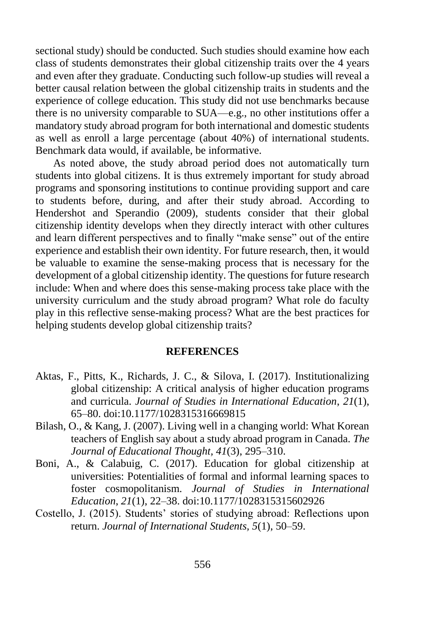sectional study) should be conducted. Such studies should examine how each class of students demonstrates their global citizenship traits over the 4 years and even after they graduate. Conducting such follow-up studies will reveal a better causal relation between the global citizenship traits in students and the experience of college education. This study did not use benchmarks because there is no university comparable to SUA—e.g., no other institutions offer a mandatory study abroad program for both international and domestic students as well as enroll a large percentage (about 40%) of international students. Benchmark data would, if available, be informative.

As noted above, the study abroad period does not automatically turn students into global citizens. It is thus extremely important for study abroad programs and sponsoring institutions to continue providing support and care to students before, during, and after their study abroad. According to Hendershot and Sperandio (2009), students consider that their global citizenship identity develops when they directly interact with other cultures and learn different perspectives and to finally "make sense" out of the entire experience and establish their own identity. For future research, then, it would be valuable to examine the sense-making process that is necessary for the development of a global citizenship identity. The questions for future research include: When and where does this sense-making process take place with the university curriculum and the study abroad program? What role do faculty play in this reflective sense-making process? What are the best practices for helping students develop global citizenship traits?

#### **REFERENCES**

- Aktas, F., Pitts, K., Richards, J. C., & Silova, I. (2017). Institutionalizing global citizenship: A critical analysis of higher education programs and curricula. *Journal of Studies in International Education*, *21*(1), 65–80. doi:10.1177/1028315316669815
- Bilash, O., & Kang, J. (2007). Living well in a changing world: What Korean teachers of English say about a study abroad program in Canada. *The Journal of Educational Thought, 41*(3), 295–310.
- Boni, A., & Calabuig, C. (2017). Education for global citizenship at universities: Potentialities of formal and informal learning spaces to foster cosmopolitanism. *Journal of Studies in International Education*, *21*(1), 22–38. doi:10.1177/1028315315602926
- Costello, J. (2015). Students' stories of studying abroad: Reflections upon return. *Journal of International Students, 5*(1), 50–59.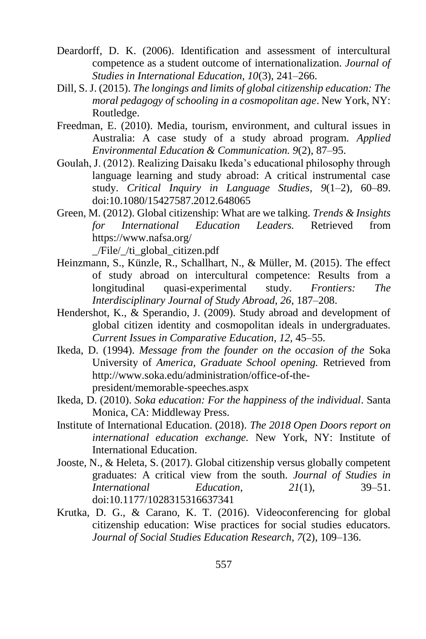- Deardorff, D. K. (2006). Identification and assessment of intercultural competence as a student outcome of internationalization. *Journal of Studies in International Education, 10*(3), 241–266.
- Dill, S. J. (2015). *The longings and limits of global citizenship education: The moral pedagogy of schooling in a cosmopolitan age*. New York, NY: Routledge.
- Freedman, E. (2010). Media, tourism, environment, and cultural issues in Australia: A case study of a study abroad program. *Applied Environmental Education & Communication. 9*(2), 87–95.
- Goulah, J. (2012). Realizing Daisaku Ikeda's educational philosophy through language learning and study abroad: A critical instrumental case study. *Critical Inquiry in Language Studies*, *9*(1–2), 60–89. doi:10.1080/15427587.2012.648065
- Green, M. (2012). Global citizenship: What are we talking. *Trends & Insights for International Education Leaders.* Retrieved from https://www.nafsa.org/

\_/File/\_/ti\_global\_citizen.pdf

- Heinzmann, S., Künzle, R., Schallhart, N., & Müller, M. (2015). The effect of study abroad on intercultural competence: Results from a longitudinal quasi-experimental study. *Frontiers: The Interdisciplinary Journal of Study Abroad*, *26*, 187–208.
- Hendershot, K., & Sperandio, J. (2009). Study abroad and development of global citizen identity and cosmopolitan ideals in undergraduates. *Current Issues in Comparative Education*, *12*, 45–55.
- Ikeda, D. (1994). *Message from the founder on the occasion of the* Soka University of *America, Graduate School opening.* Retrieved from http://www.soka.edu/administration/office-of-thepresident/memorable-speeches.aspx
- Ikeda, D. (2010). *Soka education: For the happiness of the individual*. Santa Monica, CA: Middleway Press.
- Institute of International Education. (2018). *The 2018 Open Doors report on international education exchange.* New York, NY: Institute of International Education.
- Jooste, N., & Heleta, S. (2017). Global citizenship versus globally competent graduates: A critical view from the south. *Journal of Studies in International Education*, *21*(1), 39–51. doi:10.1177/1028315316637341
- Krutka, D. G., & Carano, K. T. (2016). Videoconferencing for global citizenship education: Wise practices for social studies educators. *Journal of Social Studies Education Research*, *7*(2), 109–136.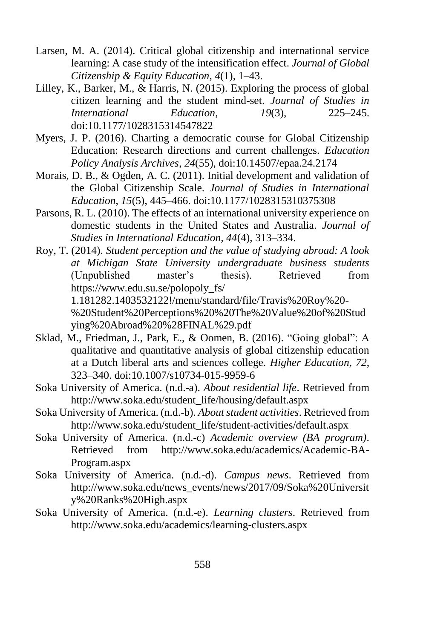- Larsen, M. A. (2014). Critical global citizenship and international service learning: A case study of the intensification effect. *Journal of Global Citizenship & Equity Education*, *4*(1), 1–43.
- Lilley, K., Barker, M., & Harris, N. (2015). Exploring the process of global citizen learning and the student mind-set. *Journal of Studies in International Education*, *19*(3), 225–245. doi:10.1177/1028315314547822
- Myers, J. P. (2016). Charting a democratic course for Global Citizenship Education: Research directions and current challenges. *Education Policy Analysis Archives*, *24*(55), doi:10.14507/epaa.24.2174
- Morais, D. B., & Ogden, A. C. (2011). Initial development and validation of the Global Citizenship Scale. *Journal of Studies in International Education*, *15*(5), 445–466. doi:10.1177/1028315310375308
- Parsons, R. L. (2010). The effects of an international university experience on domestic students in the United States and Australia. *Journal of Studies in International Education, 44*(4), 313–334.
- Roy, T. (2014). *Student perception and the value of studying abroad: A look at Michigan State University undergraduate business students* (Unpublished master's thesis). Retrieved from https://www.edu.su.se/polopoly\_fs/ 1.181282.1403532122!/menu/standard/file/Travis%20Roy%20- %20Student%20Perceptions%20%20The%20Value%20of%20Stud ying%20Abroad%20%28FINAL%29.pdf
- Sklad, M., Friedman, J., Park, E., & Oomen, B. (2016). "Going global": A qualitative and quantitative analysis of global citizenship education at a Dutch liberal arts and sciences college. *Higher Education*, *72*, 323–340. doi:10.1007/s10734-015-9959-6
- Soka University of America. (n.d.-a). *About residential life*. Retrieved from http://www.soka.edu/student\_life/housing/default.aspx
- Soka University of America. (n.d.-b). *About student activities*. Retrieved from http://www.soka.edu/student\_life/student-activities/default.aspx
- Soka University of America. (n.d.-c) *Academic overview (BA program)*. Retrieved from http://www.soka.edu/academics/Academic-BA-Program.aspx
- Soka University of America. (n.d*.-*d). *Campus news*. Retrieved from http://www.soka.edu/news\_events/news/2017/09/Soka%20Universit y%20Ranks%20High.aspx
- Soka University of America. (n.d.-e). *Learning clusters*. Retrieved from http://www.soka.edu/academics/learning-clusters.aspx